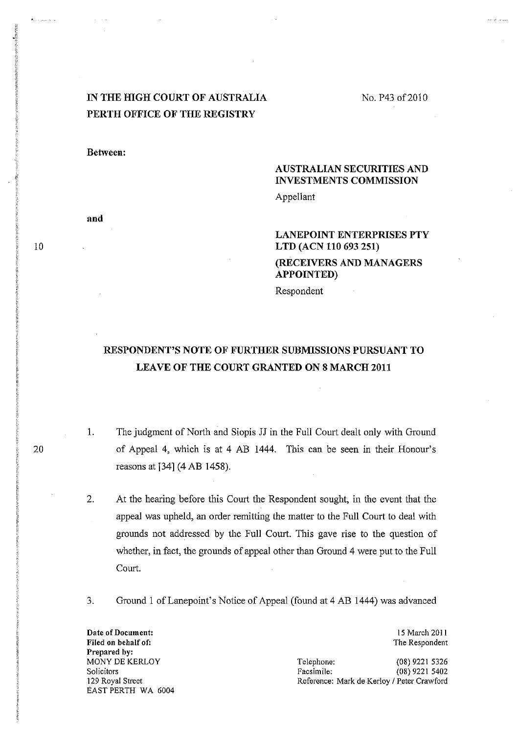# IN THE HIGH COURT OF AUSTRALIA PERTH OFFICE OF THE REGISTRY

No. P43 of 2010

Between:

and

## AUSTRALIAN SECURITIES AND INVESTMENTS COMMISSION

Appellant

### LANEPOINT ENTERPRISES PTY LTD (ACN 110693251) (RECEIVERS AND MANAGERS APPOINTED)

Respondent

# RESPONDENT'S NOTE OF FURTHER SUBMISSIONS PURSUANT TO LEAVE OF THE COURT GRANTED ON 8 MARCH 2011

- 1. The judgment of North and Siopis JJ in the Full Court dealt only with Ground of Appeal 4, which is at 4 AB 1444. This can be seen in their Honour's reasons at 134] (4 AB 1458).
- 2. At the hearing before this Court the Respondent sought, in the event that the appeal was upheld, an order remitting the matter to the Full Court to deal with grounds not addressed by the Full Court. This gave rise to the question of whether, in fact, the grounds of appeal other than Ground 4 were put to the Full Court.
- 3. Ground 1 of Lanepoint's Notice of Appeal (found at 4 AB 1444) was advanced

**Date of Document:**  Filed on behalf of: Prepared by: MONY DE KERLOY Solicitors 129 Royal Street EAST PERTH WA 6004

15 March 2011 The Respondent

Telephone: (08) 9221 5326<br>Facsimile: (08) 9221 5402 (08) 9221 5402 Reference: Mark de Kerloy / Peter Crawford

10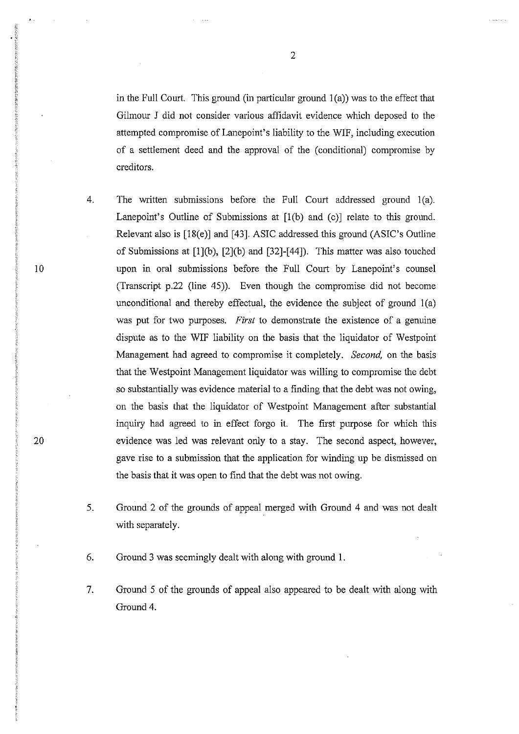in the Full Court. This ground (in particular ground  $1(a)$ ) was to the effect that Gilmour J did not consider various affidavit evidence which deposed to the attempted compromise of Lanepoint's liability to the WIF, including execution of a settlement deed and the approval of the (conditional) compromise by creditors.

- 4. The written submissions before the Full Court addressed ground l(a). Lanepoint's Outline of Submissions at  $[1(b)$  and  $(c)]$  relate to this ground. Relevant also is [18(e)] and [43]. ASIC addressed this ground (ASIC's Outline of Submissions at [l](b), [2](b) and [32]-[44]). This matter was also touched upon in oral submissions before the Full Comt by Lanepoint's counsel (Transcript p.22 (line 45)). Even though the compromise did not become unconditional and thereby effectual, the evidence the subject of ground  $1(a)$ was put for two purposes. *First* to demonstrate the existence of a genuine dispute as to the WIF liability on the basis that the liquidator of Westpoint Management had agreed to compromise it completely. *Second,* on the basis that the Westpoint Management liquidator was willing to compromise the debt so substantially was evidence material to a finding that the debt was not owing, on the basis that the liquidator of Westpoint Management after substantial inquiry had agreed to in effect forgo it. The first purpose for which this evidence was led was relevant only to a stay. The second aspect, however, gave rise to a submission that the application for winding up be dismissed on the basis that it was open to find that the debt was not owing.
- 5. Ground 2 of the grounds of appeal merged with Ground 4 and was not dealt with separately.
- 6. Ground 3 was seemingly dealt with along with ground I.
- 7. Ground 5 of the grounds of appeal also appeared to be dealt with along with Ground 4.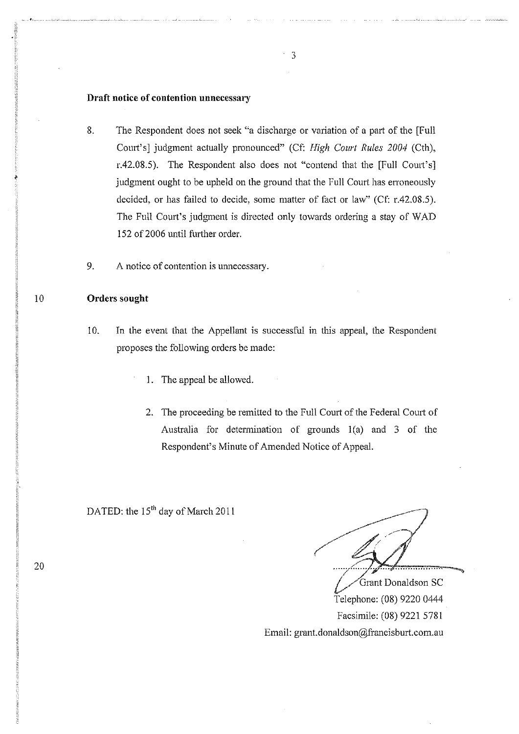#### **Draft notice of contention unnecessary**

- 8. The Respondent does not seek "a discharge or variation of a part of the [Full Court's] judgment actually pronounced" (Cf: *High Court Rules 2004* (Cth), r.42.08.5). The Respondent also does not "contend that the [Full Court's] judgment ought to be upheld on the ground that the Full Court has erroneously decided, or has failed to decide, some matter of fact or law" ( $Cf: r.42.08.5$ ). The Full Court's judgment is directed only towards ordering a stay of WAD 152 of 2006 until further order.
- 9. A notice of contention is unnecessary.

#### 10 **Orders sought**

- 10. In the event that the Appellant is successful in this appeal, the Respondent proposes the following orders be made:
	- 1, The appeal be allowed.
	- 2. The proceeding be remitted to the Full Court of the Federal Court of Australia for determination of grounds  $1(a)$  and 3 of the Respondent's Minute of Amended Notice of AppeaL

DATED: the 15<sup>th</sup> day of March 2011

*... '7" .....* 'lr" .................. . Grant Donaldson SC Telephone: (08) 9220 0444

Facsimile: (08) 92215781 Email: grant.donaldson@francisburt.com.au